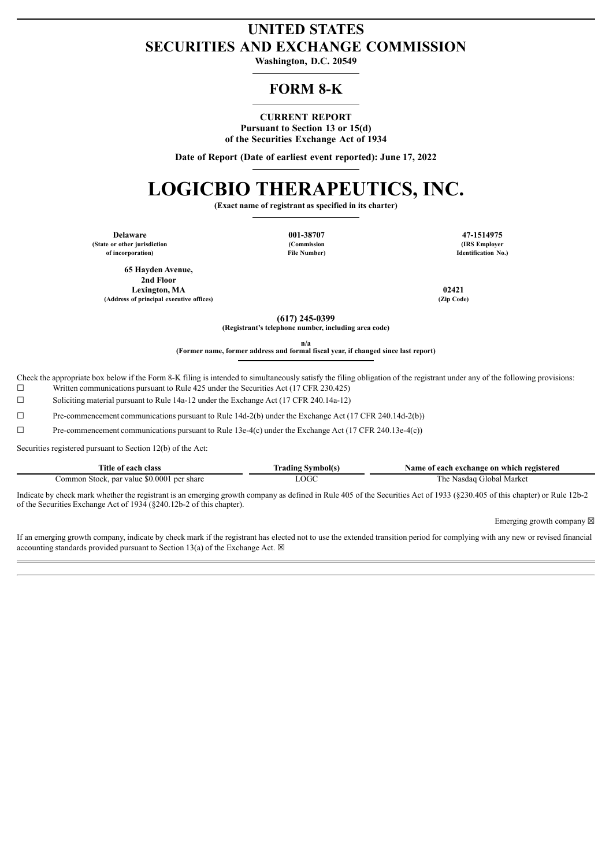## **UNITED STATES SECURITIES AND EXCHANGE COMMISSION**

**Washington, D.C. 20549**

### **FORM 8-K**

### **CURRENT REPORT**

**Pursuant to Section 13 or 15(d) of the Securities Exchange Act of 1934**

**Date of Report (Date of earliest event reported): June 17, 2022**

# **LOGICBIO THERAPEUTICS, INC.**

**(Exact name of registrant as specified in its charter)**

**Delaware 001-38707 47-1514975 (State or other jurisdiction of incorporation)**

**(Commission File Number)**

**(IRS Employer Identification No.)**

**65 Hayden Avenue, 2nd Floor Lexington, MA 02421 (Address of principal executive offices) (Zip Code)**

**(617) 245-0399**

**(Registrant's telephone number, including area code)**

**n/a**

**(Former name, former address and formal fiscal year, if changed since last report)**

Check the appropriate box below if the Form 8-K filing is intended to simultaneously satisfy the filing obligation of the registrant under any of the following provisions:  $\Box$  Written communications pursuant to Rule 425 under the Securities Act (17 CFR 230.425)

☐ Soliciting material pursuant to Rule 14a-12 under the Exchange Act (17 CFR 240.14a-12)

☐ Pre-commencement communications pursuant to Rule 14d-2(b) under the Exchange Act (17 CFR 240.14d-2(b))

☐ Pre-commencement communications pursuant to Rule 13e-4(c) under the Exchange Act (17 CFR 240.13e-4(c))

Securities registered pursuant to Section 12(b) of the Act:

| Title of each class                        | <b>Trading Symbol(s)</b> | Name of each exchange on which registered |
|--------------------------------------------|--------------------------|-------------------------------------------|
| Common Stock, par value \$0.0001 per share | LOGC                     | The Nasdag Global Market                  |

Indicate by check mark whether the registrant is an emerging growth company as defined in Rule 405 of the Securities Act of 1933 (§230.405 of this chapter) or Rule 12b-2 of the Securities Exchange Act of 1934 (§240.12b-2 of this chapter).

Emerging growth company  $\boxtimes$ 

If an emerging growth company, indicate by check mark if the registrant has elected not to use the extended transition period for complying with any new or revised financial accounting standards provided pursuant to Section 13(a) of the Exchange Act.  $\boxtimes$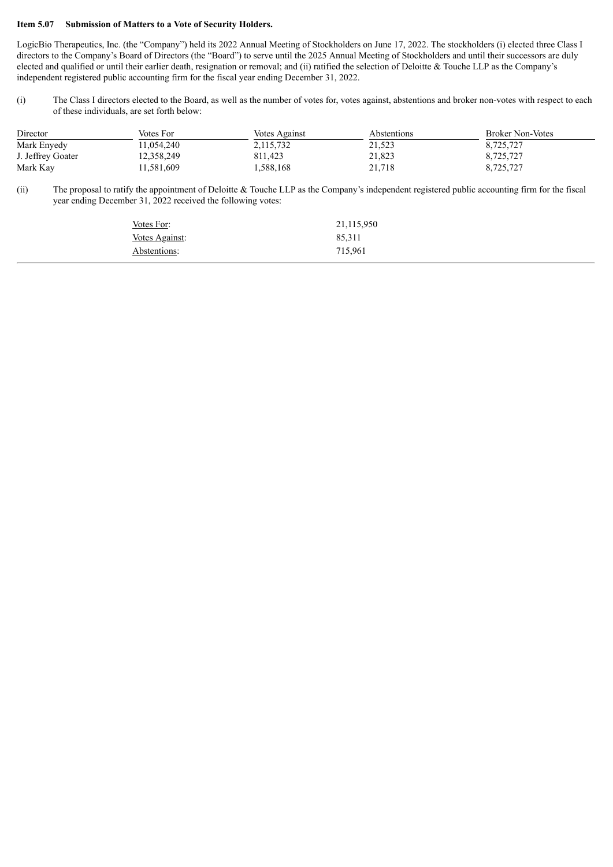#### **Item 5.07 Submission of Matters to a Vote of Security Holders.**

LogicBio Therapeutics, Inc. (the "Company") held its 2022 Annual Meeting of Stockholders on June 17, 2022. The stockholders (i) elected three Class I directors to the Company's Board of Directors (the "Board") to serve until the 2025 Annual Meeting of Stockholders and until their successors are duly elected and qualified or until their earlier death, resignation or removal; and (ii) ratified the selection of Deloitte & Touche LLP as the Company's independent registered public accounting firm for the fiscal year ending December 31, 2022.

(i) The Class I directors elected to the Board, as well as the number of votes for, votes against, abstentions and broker non-votes with respect to each of these individuals, are set forth below:

| Director          | Votes For  | Votes Against | <i>Abstentions</i> | <b>Broker Non-Votes</b> |
|-------------------|------------|---------------|--------------------|-------------------------|
| Mark Enyedy       | 11.054.240 | 2,115,732     | 21,523             | 8,725,727               |
| J. Jeffrey Goater | 12,358,249 | 811.423       | 21,823             | 8,725,727               |
| Mark Kay          | 11,581,609 | 1,588,168     | 21,718             | 8,725,727               |

(ii) The proposal to ratify the appointment of Deloitte & Touche LLP as the Company's independent registered public accounting firm for the fiscal year ending December 31, 2022 received the following votes:

| Votes For:     | 21,115,950 |
|----------------|------------|
| Votes Against: | 85,311     |
| Abstentions:   | 715,961    |